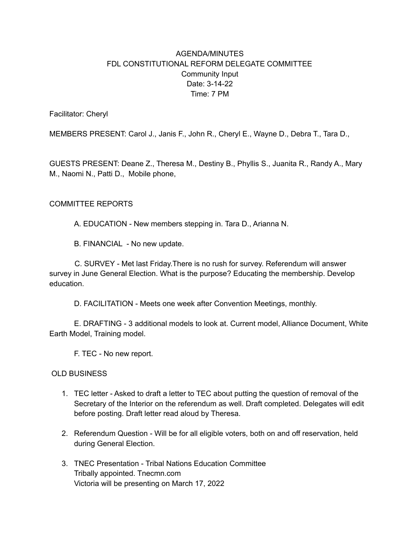## AGENDA/MINUTES FDL CONSTITUTIONAL REFORM DELEGATE COMMITTEE Community Input Date: 3-14-22 Time: 7 PM

Facilitator: Cheryl

MEMBERS PRESENT: Carol J., Janis F., John R., Cheryl E., Wayne D., Debra T., Tara D.,

GUESTS PRESENT: Deane Z., Theresa M., Destiny B., Phyllis S., Juanita R., Randy A., Mary M., Naomi N., Patti D., Mobile phone,

## COMMITTEE REPORTS

A. EDUCATION - New members stepping in. Tara D., Arianna N.

B. FINANCIAL - No new update.

C. SURVEY - Met last Friday.There is no rush for survey. Referendum will answer survey in June General Election. What is the purpose? Educating the membership. Develop education.

D. FACILITATION - Meets one week after Convention Meetings, monthly.

E. DRAFTING - 3 additional models to look at. Current model, Alliance Document, White Earth Model, Training model.

F. TEC - No new report.

OLD BUSINESS

- 1. TEC letter Asked to draft a letter to TEC about putting the question of removal of the Secretary of the Interior on the referendum as well. Draft completed. Delegates will edit before posting. Draft letter read aloud by Theresa.
- 2. Referendum Question Will be for all eligible voters, both on and off reservation, held during General Election.
- 3. TNEC Presentation Tribal Nations Education Committee Tribally appointed. Tnecmn.com Victoria will be presenting on March 17, 2022